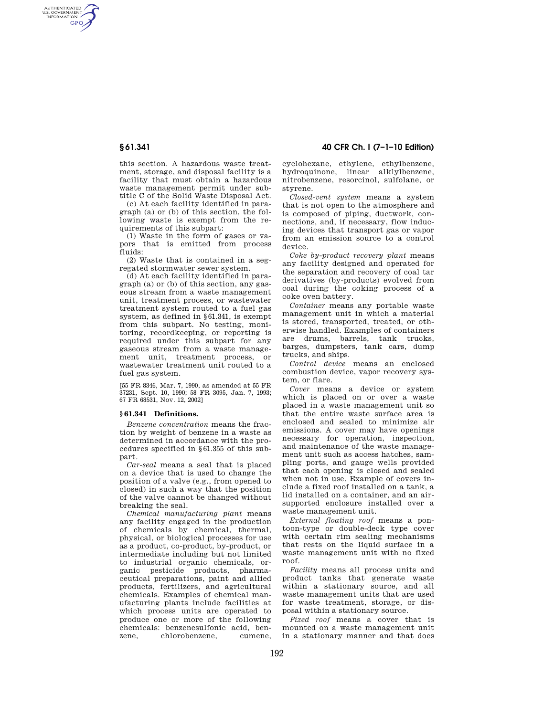AUTHENTICATED<br>U.S. GOVERNMENT<br>INFORMATION **GPO** 

> this section. A hazardous waste treatment, storage, and disposal facility is a facility that must obtain a hazardous waste management permit under subtitle C of the Solid Waste Disposal Act.

(c) At each facility identified in paragraph (a) or (b) of this section, the following waste is exempt from the requirements of this subpart:

(1) Waste in the form of gases or vapors that is emitted from process fluids:

(2) Waste that is contained in a segregated stormwater sewer system.

(d) At each facility identified in paragraph (a) or (b) of this section, any gaseous stream from a waste management unit, treatment process, or wastewater treatment system routed to a fuel gas system, as defined in §61.341, is exempt from this subpart. No testing, monitoring, recordkeeping, or reporting is required under this subpart for any gaseous stream from a waste management unit, treatment process, or wastewater treatment unit routed to a fuel gas system.

[55 FR 8346, Mar. 7, 1990, as amended at 55 FR 37231, Sept. 10, 1990; 58 FR 3095, Jan. 7, 1993; 67 FR 68531, Nov. 12, 2002]

### **§ 61.341 Definitions.**

*Benzene concentration* means the fraction by weight of benzene in a waste as determined in accordance with the procedures specified in §61.355 of this subpart.

*Car-seal* means a seal that is placed on a device that is used to change the position of a valve (e.g., from opened to closed) in such a way that the position of the valve cannot be changed without breaking the seal.

*Chemical manufacturing plant* means any facility engaged in the production of chemicals by chemical, thermal, physical, or biological processes for use as a product, co-product, by-product, or intermediate including but not limited to industrial organic chemicals, organic pesticide products, pharmaceutical preparations, paint and allied products, fertilizers, and agricultural chemicals. Examples of chemical manufacturing plants include facilities at which process units are operated to produce one or more of the following chemicals: benzenesulfonic acid, benchlorobenzene

# **§ 61.341 40 CFR Ch. I (7–1–10 Edition)**

cyclohexane, ethylene, ethylbenzene, hydroquinone, linear alklylbenzene, nitrobenzene, resorcinol, sulfolane, or styrene.

*Closed-vent system* means a system that is not open to the atmosphere and is composed of piping, ductwork, connections, and, if necessary, flow inducing devices that transport gas or vapor from an emission source to a control device.

*Coke by-product recovery plant* means any facility designed and operated for the separation and recovery of coal tar derivatives (by-products) evolved from coal during the coking process of a coke oven battery.

*Container* means any portable waste management unit in which a material is stored, transported, treated, or otherwise handled. Examples of containers are drums, barrels, tank trucks, barges, dumpsters, tank cars, dump trucks, and ships.

*Control device* means an enclosed combustion device, vapor recovery system, or flare.

*Cover* means a device or system which is placed on or over a waste placed in a waste management unit so that the entire waste surface area is enclosed and sealed to minimize air emissions. A cover may have openings necessary for operation, inspection, and maintenance of the waste management unit such as access hatches, sampling ports, and gauge wells provided that each opening is closed and sealed when not in use. Example of covers include a fixed roof installed on a tank, a lid installed on a container, and an airsupported enclosure installed over a waste management unit.

*External floating roof* means a pontoon-type or double-deck type cover with certain rim sealing mechanisms that rests on the liquid surface in a waste management unit with no fixed roof.

*Facility* means all process units and product tanks that generate waste within a stationary source, and all waste management units that are used for waste treatment, storage, or disposal within a stationary source.

*Fixed roof* means a cover that is mounted on a waste management unit in a stationary manner and that does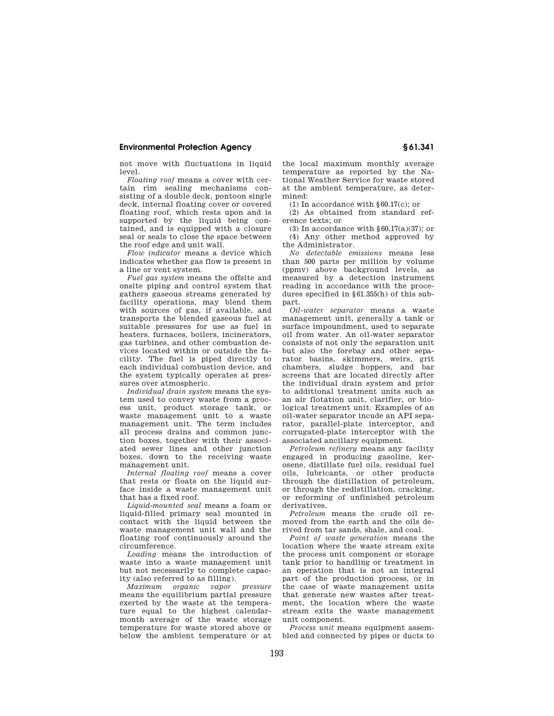## **Environmental Protection Agency § 61.341**

not move with fluctuations in liquid level.

*Floating roof* means a cover with certain rim sealing mechanisms consisting of a double deck, pontoon single deck, internal floating cover or covered floating roof, which rests upon and is supported by the liquid being contained, and is equipped with a closure seal or seals to close the space between the roof edge and unit wall.

*Flow indicator* means a device which indicates whether gas flow is present in a line or vent system.

*Fuel gas system* means the offsite and onsite piping and control system that gathers gaseous streams generated by facility operations, may blend them with sources of gas, if available, and transports the blended gaseous fuel at suitable pressures for use as fuel in heaters, furnaces, boilers, incinerators, gas turbines, and other combustion devices located within or outside the facility. The fuel is piped directly to each individual combustion device, and the system typically operates at pressures over atmospheric.

*Individual drain system* means the system used to convey waste from a process unit, product storage tank, or waste management unit to a waste management unit. The term includes all process drains and common junction boxes, together with their associated sewer lines and other junction boxes, down to the receiving waste management unit.

*Internal floating roof* means a cover that rests or floats on the liquid surface inside a waste management unit that has a fixed roof.

*Liquid-mounted seal* means a foam or liquid-filled primary seal mounted in contact with the liquid between the waste management unit wall and the floating roof continuously around the circumference.

*Loading* means the introduction of waste into a waste management unit but not necessarily to complete capacity (also referred to as filling).

*Maximum organic vapor pressure*  means the equilibrium partial pressure exerted by the waste at the temperature equal to the highest calendarmonth average of the waste storage temperature for waste stored above or below the ambient temperature or at

the local maximum monthly average temperature as reported by the National Weather Service for waste stored at the ambient temperature, as determined:

(1) In accordance with §60.17(c); or

(2) As obtained from standard reference texts; or

(3) In accordance with  $\S 60.17(a)(37)$ ; or (4) Any other method approved by the Administrator.

*No detectable emissions* means less than 500 parts per million by volume (ppmv) above background levels, as measured by a detection instrument reading in accordance with the procedures specified in §61.355(h) of this subpart.

*Oil-water separator* means a waste management unit, generally a tank or surface impoundment, used to separate oil from water. An oil-water separator consists of not only the separation unit but also the forebay and other separator basins, skimmers, weirs, grit chambers, sludge hoppers, and bar screens that are located directly after the individual drain system and prior to additional treatment units such as an air flotation unit, clarifier, or biological treatment unit. Examples of an oil-water separator incude an API separator, parallel-plate interceptor, and corrugated-plate interceptor with the associated ancillary equipment.

*Petroleum refinery* means any facility engaged in producing gasoline, kerosene, distillate fuel oils, residual fuel oils, lubricants, or other products through the distillation of petroleum, or through the redistillation, cracking, or reforming of unfinished petroleum derivatives.

*Petroleum* means the crude oil removed from the earth and the oils derived from tar sands, shale, and coal.

*Point of waste generation* means the location where the waste stream exits the process unit component or storage tank prior to handling or treatment in an operation that is not an integral part of the production process, or in the case of waste management units that generate new wastes after treatment, the location where the waste stream exits the waste management unit component.

*Process unit* means equipment assembled and connected by pipes or ducts to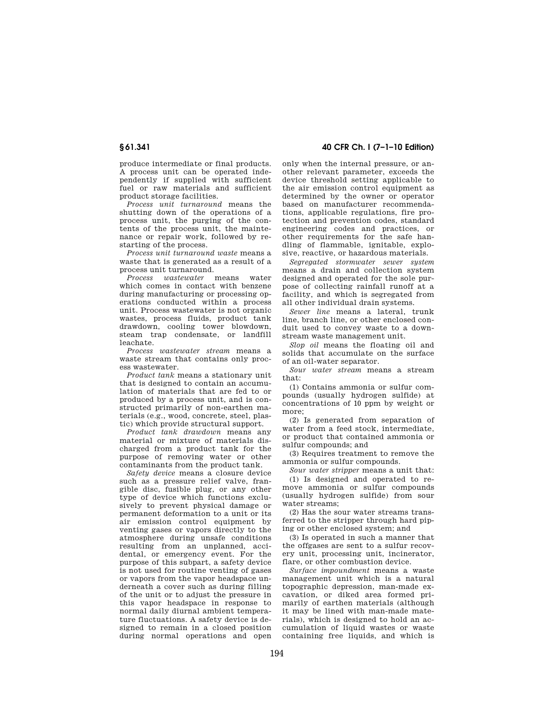produce intermediate or final products. A process unit can be operated independently if supplied with sufficient fuel or raw materials and sufficient product storage facilities.

*Process unit turnaround* means the shutting down of the operations of a process unit, the purging of the contents of the process unit, the maintenance or repair work, followed by restarting of the process.

*Process unit turnaround waste* means a waste that is generated as a result of a process unit turnaround.

*Process wastewater* means water which comes in contact with benzene during manufacturing or processing operations conducted within a process unit. Process wastewater is not organic wastes, process fluids, product tank drawdown, cooling tower blowdown, steam trap condensate, or landfill leachate.

*Process wastewater stream* means a waste stream that contains only process wastewater.

*Product tank* means a stationary unit that is designed to contain an accumulation of materials that are fed to or produced by a process unit, and is constructed primarily of non-earthen materials (e.g., wood, concrete, steel, plastic) which provide structural support.

*Product tank drawdown* means any material or mixture of materials discharged from a product tank for the purpose of removing water or other contaminants from the product tank.

*Safety device* means a closure device such as a pressure relief valve, frangible disc, fusible plug, or any other type of device which functions exclusively to prevent physical damage or permanent deformation to a unit or its air emission control equipment by venting gases or vapors directly to the atmosphere during unsafe conditions resulting from an unplanned, accidental, or emergency event. For the purpose of this subpart, a safety device is not used for routine venting of gases or vapors from the vapor headspace underneath a cover such as during filling of the unit or to adjust the pressure in this vapor headspace in response to normal daily diurnal ambient temperature fluctuations. A safety device is designed to remain in a closed position during normal operations and open

# **§ 61.341 40 CFR Ch. I (7–1–10 Edition)**

only when the internal pressure, or another relevant parameter, exceeds the device threshold setting applicable to the air emission control equipment as determined by the owner or operator based on manufacturer recommendations, applicable regulations, fire protection and prevention codes, standard engineering codes and practices, or other requirements for the safe handling of flammable, ignitable, explosive, reactive, or hazardous materials.

*Segregated stormwater sewer system*  means a drain and collection system designed and operated for the sole purpose of collecting rainfall runoff at a facility, and which is segregated from all other individual drain systems.

*Sewer line* means a lateral, trunk line, branch line, or other enclosed conduit used to convey waste to a downstream waste management unit.

*Slop oil* means the floating oil and solids that accumulate on the surface of an oil-water separator.

*Sour water stream* means a stream that:

(1) Contains ammonia or sulfur compounds (usually hydrogen sulfide) at concentrations of 10 ppm by weight or more;

(2) Is generated from separation of water from a feed stock, intermediate, or product that contained ammonia or sulfur compounds; and

(3) Requires treatment to remove the ammonia or sulfur compounds.

*Sour water stripper* means a unit that: (1) Is designed and operated to remove ammonia or sulfur compounds (usually hydrogen sulfide) from sour water streams;

(2) Has the sour water streams transferred to the stripper through hard piping or other enclosed system; and

(3) Is operated in such a manner that the offgases are sent to a sulfur recovery unit, processing unit, incinerator, flare, or other combustion device.

*Surface impoundment* means a waste management unit which is a natural topographic depression, man-made excavation, or diked area formed primarily of earthen materials (although it may be lined with man-made materials), which is designed to hold an accumulation of liquid wastes or waste containing free liquids, and which is